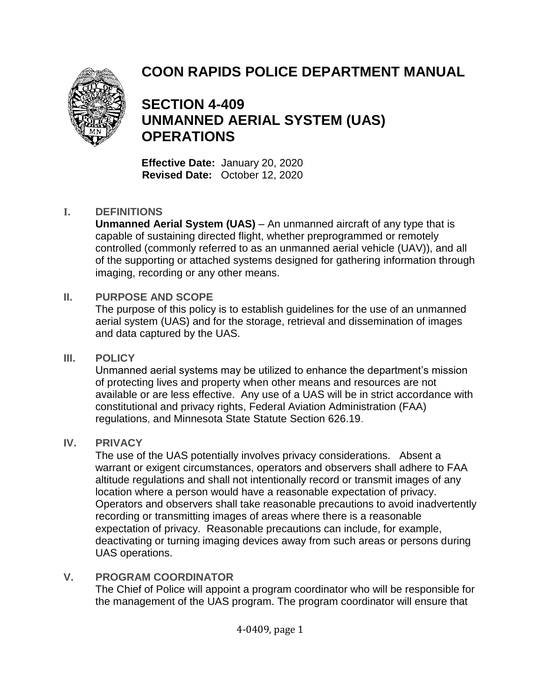# **COON RAPIDS POLICE DEPARTMENT MANUAL**



# **SECTION 4-409 UNMANNED AERIAL SYSTEM (UAS) OPERATIONS**

**Effective Date:** January 20, 2020 **Revised Date:** October 12, 2020

#### **I. DEFINITIONS**

**Unmanned Aerial System (UAS)** – An unmanned aircraft of any type that is capable of sustaining directed flight, whether preprogrammed or remotely controlled (commonly referred to as an unmanned aerial vehicle (UAV)), and all of the supporting or attached systems designed for gathering information through imaging, recording or any other means.

#### **II. PURPOSE AND SCOPE**

The purpose of this policy is to establish guidelines for the use of an unmanned aerial system (UAS) and for the storage, retrieval and dissemination of images and data captured by the UAS.

#### **III. POLICY**

Unmanned aerial systems may be utilized to enhance the department's mission of protecting lives and property when other means and resources are not available or are less effective. Any use of a UAS will be in strict accordance with constitutional and privacy rights, Federal Aviation Administration (FAA) regulations, and Minnesota State Statute Section 626.19.

### **IV. PRIVACY**

The use of the UAS potentially involves privacy considerations. Absent a warrant or exigent circumstances, operators and observers shall adhere to FAA altitude regulations and shall not intentionally record or transmit images of any location where a person would have a reasonable expectation of privacy. Operators and observers shall take reasonable precautions to avoid inadvertently recording or transmitting images of areas where there is a reasonable expectation of privacy. Reasonable precautions can include, for example, deactivating or turning imaging devices away from such areas or persons during UAS operations.

### **V. PROGRAM COORDINATOR**

The Chief of Police will appoint a program coordinator who will be responsible for the management of the UAS program. The program coordinator will ensure that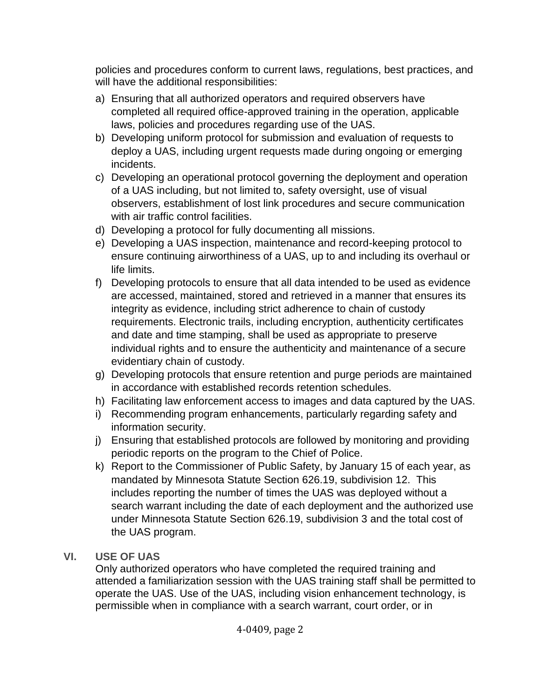policies and procedures conform to current laws, regulations, best practices, and will have the additional responsibilities:

- a) Ensuring that all authorized operators and required observers have completed all required office-approved training in the operation, applicable laws, policies and procedures regarding use of the UAS.
- b) Developing uniform protocol for submission and evaluation of requests to deploy a UAS, including urgent requests made during ongoing or emerging incidents.
- c) Developing an operational protocol governing the deployment and operation of a UAS including, but not limited to, safety oversight, use of visual observers, establishment of lost link procedures and secure communication with air traffic control facilities.
- d) Developing a protocol for fully documenting all missions.
- e) Developing a UAS inspection, maintenance and record-keeping protocol to ensure continuing airworthiness of a UAS, up to and including its overhaul or life limits.
- f) Developing protocols to ensure that all data intended to be used as evidence are accessed, maintained, stored and retrieved in a manner that ensures its integrity as evidence, including strict adherence to chain of custody requirements. Electronic trails, including encryption, authenticity certificates and date and time stamping, shall be used as appropriate to preserve individual rights and to ensure the authenticity and maintenance of a secure evidentiary chain of custody.
- g) Developing protocols that ensure retention and purge periods are maintained in accordance with established records retention schedules.
- h) Facilitating law enforcement access to images and data captured by the UAS.
- i) Recommending program enhancements, particularly regarding safety and information security.
- j) Ensuring that established protocols are followed by monitoring and providing periodic reports on the program to the Chief of Police.
- k) Report to the Commissioner of Public Safety, by January 15 of each year, as mandated by Minnesota Statute Section 626.19, subdivision 12. This includes reporting the number of times the UAS was deployed without a search warrant including the date of each deployment and the authorized use under Minnesota Statute Section 626.19, subdivision 3 and the total cost of the UAS program.
- **VI. USE OF UAS**

Only authorized operators who have completed the required training and attended a familiarization session with the UAS training staff shall be permitted to operate the UAS. Use of the UAS, including vision enhancement technology, is permissible when in compliance with a search warrant, court order, or in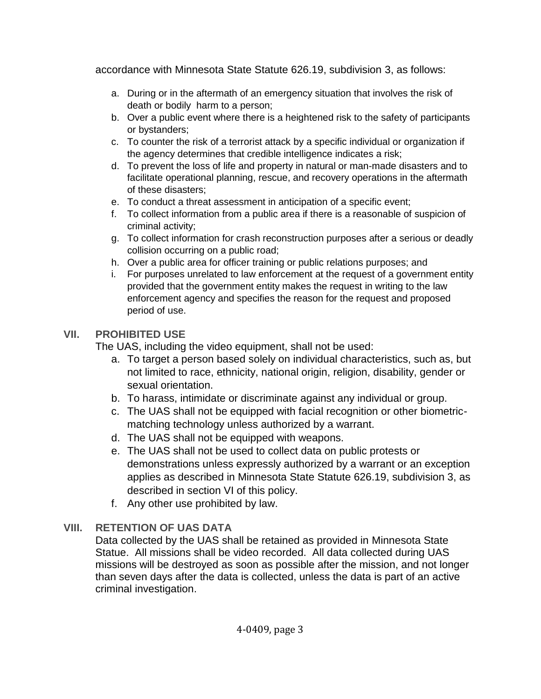accordance with Minnesota State Statute 626.19, subdivision 3, as follows:

- a. During or in the aftermath of an emergency situation that involves the risk of death or bodily harm to a person;
- b. Over a public event where there is a heightened risk to the safety of participants or bystanders;
- c. To counter the risk of a terrorist attack by a specific individual or organization if the agency determines that credible intelligence indicates a risk;
- d. To prevent the loss of life and property in natural or man-made disasters and to facilitate operational planning, rescue, and recovery operations in the aftermath of these disasters;
- e. To conduct a threat assessment in anticipation of a specific event;
- f. To collect information from a public area if there is a reasonable of suspicion of criminal activity;
- g. To collect information for crash reconstruction purposes after a serious or deadly collision occurring on a public road;
- h. Over a public area for officer training or public relations purposes; and
- i. For purposes unrelated to law enforcement at the request of a government entity provided that the government entity makes the request in writing to the law enforcement agency and specifies the reason for the request and proposed period of use.

## **VII. PROHIBITED USE**

The UAS, including the video equipment, shall not be used:

- a. To target a person based solely on individual characteristics, such as, but not limited to race, ethnicity, national origin, religion, disability, gender or sexual orientation.
- b. To harass, intimidate or discriminate against any individual or group.
- c. The UAS shall not be equipped with facial recognition or other biometricmatching technology unless authorized by a warrant.
- d. The UAS shall not be equipped with weapons.
- e. The UAS shall not be used to collect data on public protests or demonstrations unless expressly authorized by a warrant or an exception applies as described in Minnesota State Statute 626.19, subdivision 3, as described in section VI of this policy.
- f. Any other use prohibited by law.

# **VIII. RETENTION OF UAS DATA**

Data collected by the UAS shall be retained as provided in Minnesota State Statue. All missions shall be video recorded. All data collected during UAS missions will be destroyed as soon as possible after the mission, and not longer than seven days after the data is collected, unless the data is part of an active criminal investigation.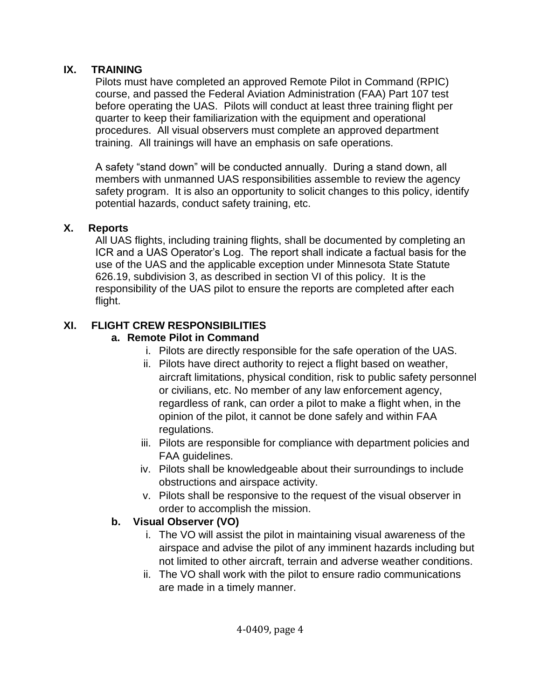### **IX. TRAINING**

Pilots must have completed an approved Remote Pilot in Command (RPIC) course, and passed the Federal Aviation Administration (FAA) Part 107 test before operating the UAS. Pilots will conduct at least three training flight per quarter to keep their familiarization with the equipment and operational procedures. All visual observers must complete an approved department training. All trainings will have an emphasis on safe operations.

A safety "stand down" will be conducted annually. During a stand down, all members with unmanned UAS responsibilities assemble to review the agency safety program. It is also an opportunity to solicit changes to this policy, identify potential hazards, conduct safety training, etc.

### **X. Reports**

All UAS flights, including training flights, shall be documented by completing an ICR and a UAS Operator's Log. The report shall indicate a factual basis for the use of the UAS and the applicable exception under Minnesota State Statute 626.19, subdivision 3, as described in section VI of this policy. It is the responsibility of the UAS pilot to ensure the reports are completed after each flight.

### **XI. FLIGHT CREW RESPONSIBILITIES**

### **a. Remote Pilot in Command**

- i. Pilots are directly responsible for the safe operation of the UAS.
- ii. Pilots have direct authority to reject a flight based on weather, aircraft limitations, physical condition, risk to public safety personnel or civilians, etc. No member of any law enforcement agency, regardless of rank, can order a pilot to make a flight when, in the opinion of the pilot, it cannot be done safely and within FAA regulations.
- iii. Pilots are responsible for compliance with department policies and FAA guidelines.
- iv. Pilots shall be knowledgeable about their surroundings to include obstructions and airspace activity.
- v. Pilots shall be responsive to the request of the visual observer in order to accomplish the mission.

### **b. Visual Observer (VO)**

- i. The VO will assist the pilot in maintaining visual awareness of the airspace and advise the pilot of any imminent hazards including but not limited to other aircraft, terrain and adverse weather conditions.
- ii. The VO shall work with the pilot to ensure radio communications are made in a timely manner.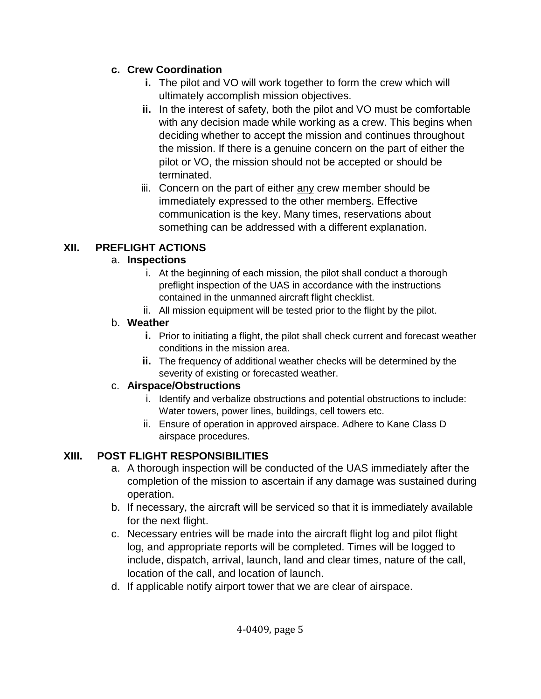### **c. Crew Coordination**

- **i.** The pilot and VO will work together to form the crew which will ultimately accomplish mission objectives.
- **ii.** In the interest of safety, both the pilot and VO must be comfortable with any decision made while working as a crew. This begins when deciding whether to accept the mission and continues throughout the mission. If there is a genuine concern on the part of either the pilot or VO, the mission should not be accepted or should be terminated.
- iii. Concern on the part of either any crew member should be immediately expressed to the other members. Effective communication is the key. Many times, reservations about something can be addressed with a different explanation.

# **XII. PREFLIGHT ACTIONS**

## a. **Inspections**

- i. At the beginning of each mission, the pilot shall conduct a thorough preflight inspection of the UAS in accordance with the instructions contained in the unmanned aircraft flight checklist.
- ii. All mission equipment will be tested prior to the flight by the pilot.

# b. **Weather**

- **i.** Prior to initiating a flight, the pilot shall check current and forecast weather conditions in the mission area.
- **ii.** The frequency of additional weather checks will be determined by the severity of existing or forecasted weather.

# c. **Airspace/Obstructions**

- i. Identify and verbalize obstructions and potential obstructions to include: Water towers, power lines, buildings, cell towers etc.
- ii. Ensure of operation in approved airspace. Adhere to Kane Class D airspace procedures.

# **XIII. POST FLIGHT RESPONSIBILITIES**

- a. A thorough inspection will be conducted of the UAS immediately after the completion of the mission to ascertain if any damage was sustained during operation.
- b. If necessary, the aircraft will be serviced so that it is immediately available for the next flight.
- c. Necessary entries will be made into the aircraft flight log and pilot flight log, and appropriate reports will be completed. Times will be logged to include, dispatch, arrival, launch, land and clear times, nature of the call, location of the call, and location of launch.
- d. If applicable notify airport tower that we are clear of airspace.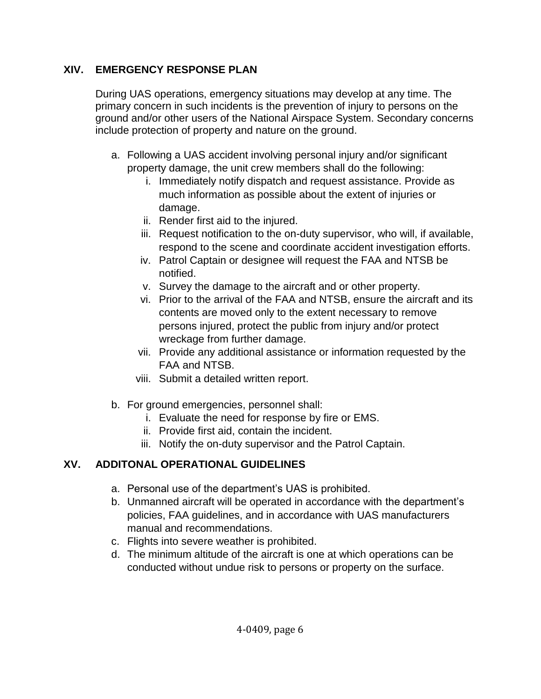### **XIV. EMERGENCY RESPONSE PLAN**

During UAS operations, emergency situations may develop at any time. The primary concern in such incidents is the prevention of injury to persons on the ground and/or other users of the National Airspace System. Secondary concerns include protection of property and nature on the ground.

- a. Following a UAS accident involving personal injury and/or significant property damage, the unit crew members shall do the following:
	- i. Immediately notify dispatch and request assistance. Provide as much information as possible about the extent of injuries or damage.
	- ii. Render first aid to the injured.
	- iii. Request notification to the on-duty supervisor, who will, if available, respond to the scene and coordinate accident investigation efforts.
	- iv. Patrol Captain or designee will request the FAA and NTSB be notified.
	- v. Survey the damage to the aircraft and or other property.
	- vi. Prior to the arrival of the FAA and NTSB, ensure the aircraft and its contents are moved only to the extent necessary to remove persons injured, protect the public from injury and/or protect wreckage from further damage.
	- vii. Provide any additional assistance or information requested by the FAA and NTSB.
	- viii. Submit a detailed written report.
- b. For ground emergencies, personnel shall:
	- i. Evaluate the need for response by fire or EMS.
	- ii. Provide first aid, contain the incident.
	- iii. Notify the on-duty supervisor and the Patrol Captain.

# **XV. ADDITONAL OPERATIONAL GUIDELINES**

- a. Personal use of the department's UAS is prohibited.
- b. Unmanned aircraft will be operated in accordance with the department's policies, FAA guidelines, and in accordance with UAS manufacturers manual and recommendations.
- c. Flights into severe weather is prohibited.
- d. The minimum altitude of the aircraft is one at which operations can be conducted without undue risk to persons or property on the surface.